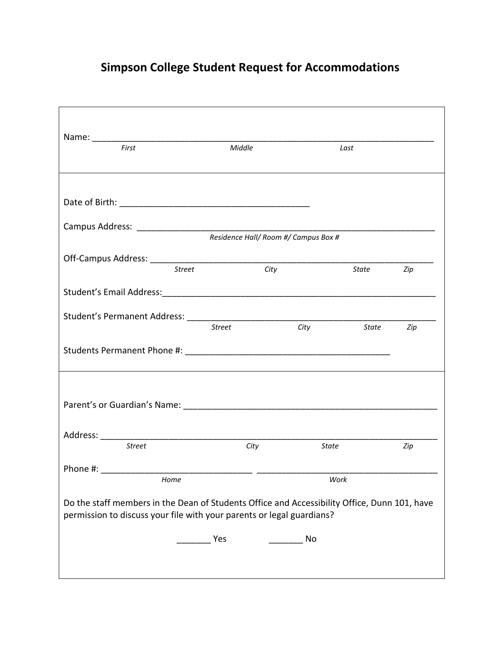## **Simpson College Student Request for Accommodations**

| First                                                                                                                                                                 | Middle                               | Last  |              |     |  |  |
|-----------------------------------------------------------------------------------------------------------------------------------------------------------------------|--------------------------------------|-------|--------------|-----|--|--|
|                                                                                                                                                                       |                                      |       |              |     |  |  |
|                                                                                                                                                                       |                                      |       |              |     |  |  |
|                                                                                                                                                                       |                                      |       |              |     |  |  |
|                                                                                                                                                                       | Residence Hall/ Room #/ Campus Box # |       |              |     |  |  |
| <b>Street</b>                                                                                                                                                         | $\overline{City}$                    |       |              |     |  |  |
|                                                                                                                                                                       |                                      |       | <b>State</b> | Zip |  |  |
|                                                                                                                                                                       |                                      |       |              |     |  |  |
|                                                                                                                                                                       | <b>Street</b>                        | City  | State        | Zip |  |  |
|                                                                                                                                                                       |                                      |       |              |     |  |  |
|                                                                                                                                                                       |                                      |       |              |     |  |  |
| <b>Street</b>                                                                                                                                                         |                                      |       |              |     |  |  |
|                                                                                                                                                                       | City                                 | State |              | Zip |  |  |
| Phone #:<br>Home                                                                                                                                                      |                                      | Work  |              |     |  |  |
| Do the staff members in the Dean of Students Office and Accessibility Office, Dunn 101, have<br>permission to discuss your file with your parents or legal guardians? |                                      |       |              |     |  |  |
|                                                                                                                                                                       | Yes                                  | No    |              |     |  |  |
|                                                                                                                                                                       |                                      |       |              |     |  |  |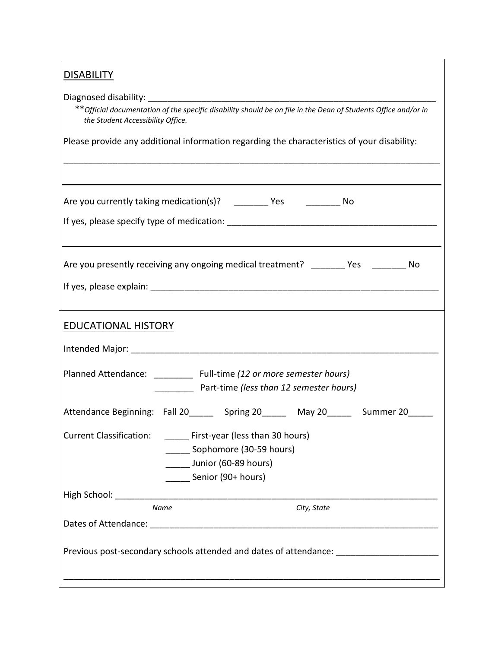Diagnosed disability: \_\_\_\_\_\_\_\_\_\_\_\_\_\_\_\_\_\_\_\_\_\_\_\_\_\_\_\_\_\_\_\_\_\_\_\_\_\_\_\_\_\_\_\_\_\_\_\_\_\_\_\_\_\_\_\_\_\_\_

 \*\**Official documentation of the specific disability should be on file in the Dean of Students Office and/or in the Student Accessibility Office.*

\_\_\_\_\_\_\_\_\_\_\_\_\_\_\_\_\_\_\_\_\_\_\_\_\_\_\_\_\_\_\_\_\_\_\_\_\_\_\_\_\_\_\_\_\_\_\_\_\_\_\_\_\_\_\_\_\_\_\_\_\_\_\_\_\_\_\_\_\_\_\_\_\_\_\_\_\_

Please provide any additional information regarding the characteristics of your disability:

| Are you currently taking medication(s)? _______ Yes ________ No                                                                                                                                                                    |  |  |  |  |
|------------------------------------------------------------------------------------------------------------------------------------------------------------------------------------------------------------------------------------|--|--|--|--|
|                                                                                                                                                                                                                                    |  |  |  |  |
| Are you presently receiving any ongoing medical treatment? _______ Yes _______ No                                                                                                                                                  |  |  |  |  |
|                                                                                                                                                                                                                                    |  |  |  |  |
| <b>EDUCATIONAL HISTORY</b>                                                                                                                                                                                                         |  |  |  |  |
|                                                                                                                                                                                                                                    |  |  |  |  |
| Planned Attendance: __________ Full-time (12 or more semester hours)<br>Part-time (less than 12 semester hours)                                                                                                                    |  |  |  |  |
| Attendance Beginning: Fall 20_______ Spring 20______ May 20______ Summer 20_____                                                                                                                                                   |  |  |  |  |
| Current Classification: First-year (less than 30 hours)<br>_______ Sophomore (30-59 hours)<br>Junior (60-89 hours)<br>Senior (90+ hours)                                                                                           |  |  |  |  |
| <b>High School:</b> The Company of the Company of the Company of the Company of the Company of the Company of the Company of the Company of the Company of the Company of the Company of the Company of the Company of the Company |  |  |  |  |
| <b>Name</b><br>City, State                                                                                                                                                                                                         |  |  |  |  |
| Previous post-secondary schools attended and dates of attendance: _____________________                                                                                                                                            |  |  |  |  |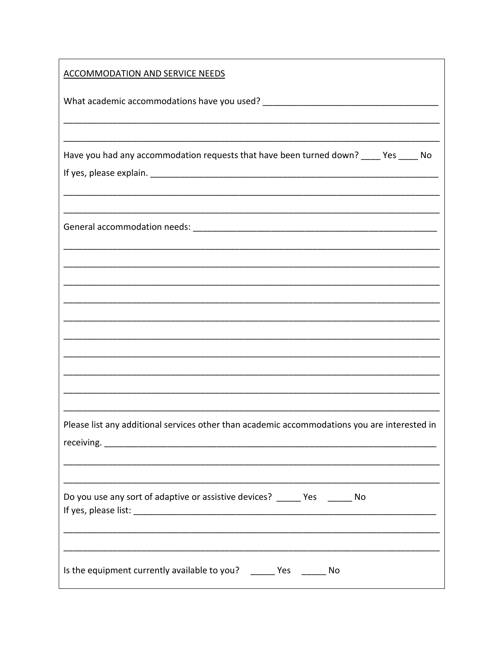| <b>ACCOMMODATION AND SERVICE NEEDS</b>                                                       |
|----------------------------------------------------------------------------------------------|
|                                                                                              |
|                                                                                              |
| Have you had any accommodation requests that have been turned down? ____ Yes ____ No         |
|                                                                                              |
|                                                                                              |
|                                                                                              |
|                                                                                              |
|                                                                                              |
|                                                                                              |
|                                                                                              |
|                                                                                              |
| Please list any additional services other than academic accommodations you are interested in |
| Do you use any sort of adaptive or assistive devices? _____ Yes _____ No                     |
| Is the equipment currently available to you? ______ Yes ______ No                            |